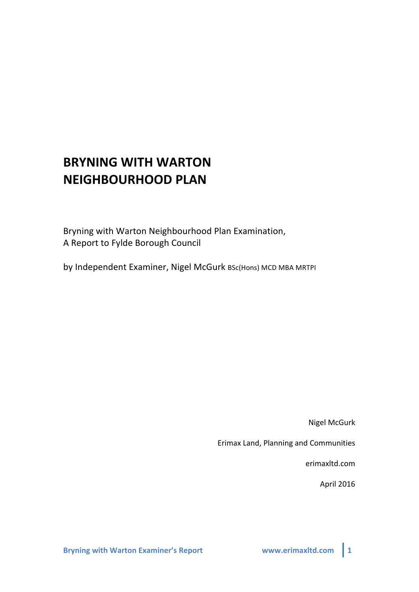# **BRYNING'WITH'WARTON NEIGHBOURHOOD'PLAN'**

Bryning with Warton Neighbourhood Plan Examination, A Report to Fylde Borough Council

by Independent Examiner, Nigel McGurk BSc(Hons) MCD MBA MRTPI

**Nigel McGurk** 

Erimax Land, Planning and Communities

erimaxltd.com

April 2016

**Bryning with Warton Examiner's Report WWW.erimaxltd.com** 1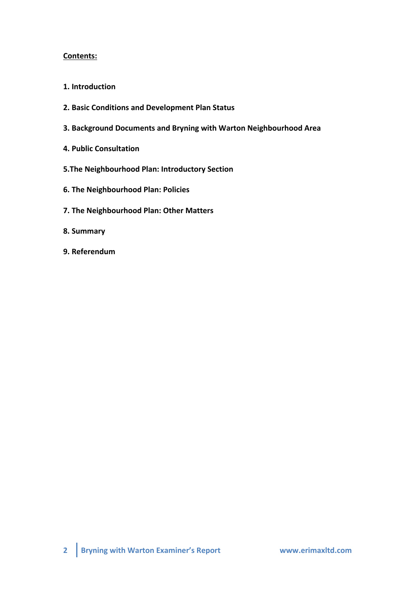# **Contents:**

- **1.'Introduction'**
- **2. Basic'Conditions and'Development'Plan'Status**
- **3. Background'Documents and Bryning'with'Warton Neighbourhood'Area'**
- **4. Public'Consultation**
- **5.The'Neighbourhood'Plan: Introductory'Section**
- **6.'The'Neighbourhood'Plan: Policies**
- **7. The Neighbourhood Plan: Other Matters**
- **8. Summary**
- **9. Referendum**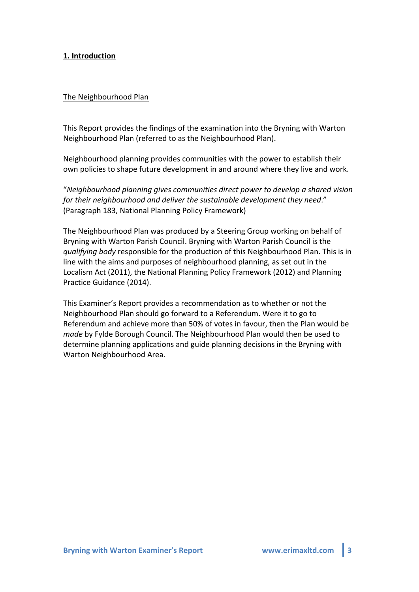## **1. Introduction'**

#### The Neighbourhood Plan

This Report provides the findings of the examination into the Bryning with Warton Neighbourhood Plan (referred to as the Neighbourhood Plan).

Neighbourhood planning provides communities with the power to establish their own policies to shape future development in and around where they live and work.

"*Neighbourhood+planning+gives+communities+direct+power+to+develop+a+shared+vision+ for their neighbourhood and deliver the sustainable development they need."* (Paragraph 183, National Planning Policy Framework)

The Neighbourhood Plan was produced by a Steering Group working on behalf of Bryning with Warton Parish Council. Bryning with Warton Parish Council is the *qualifying body* responsible for the production of this Neighbourhood Plan. This is in line with the aims and purposes of neighbourhood planning, as set out in the Localism Act (2011), the National Planning Policy Framework (2012) and Planning Practice Guidance (2014).

This Examiner's Report provides a recommendation as to whether or not the Neighbourhood Plan should go forward to a Referendum. Were it to go to Referendum and achieve more than 50% of votes in favour, then the Plan would be *made* by Fylde Borough Council. The Neighbourhood Plan would then be used to determine planning applications and guide planning decisions in the Bryning with Warton Neighbourhood Area.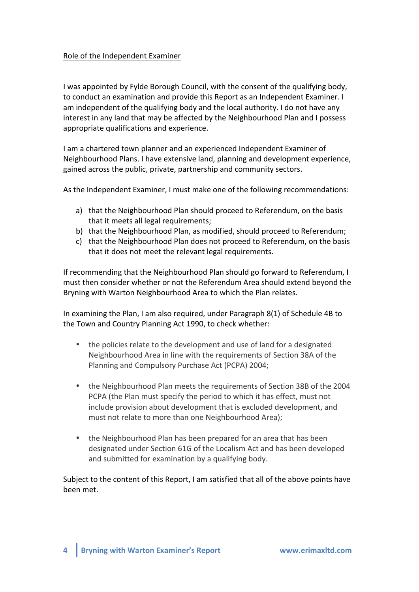## Role of the Independent Examiner

I was appointed by Fylde Borough Council, with the consent of the qualifying body, to conduct an examination and provide this Report as an Independent Examiner. I am independent of the qualifying body and the local authority. I do not have any interest in any land that may be affected by the Neighbourhood Plan and I possess appropriate qualifications and experience.

I am a chartered town planner and an experienced Independent Examiner of Neighbourhood Plans. I have extensive land, planning and development experience, gained across the public, private, partnership and community sectors.

As the Independent Examiner, I must make one of the following recommendations:

- a) that the Neighbourhood Plan should proceed to Referendum, on the basis that it meets all legal requirements;
- b) that the Neighbourhood Plan, as modified, should proceed to Referendum;
- c) that the Neighbourhood Plan does not proceed to Referendum, on the basis that it does not meet the relevant legal requirements.

If recommending that the Neighbourhood Plan should go forward to Referendum, I must then consider whether or not the Referendum Area should extend beyond the Bryning with Warton Neighbourhood Area to which the Plan relates.

In examining the Plan, I am also required, under Paragraph  $8(1)$  of Schedule 4B to the Town and Country Planning Act 1990, to check whether:

- the policies relate to the development and use of land for a designated Neighbourhood Area in line with the requirements of Section 38A of the Planning and Compulsory Purchase Act (PCPA) 2004;
- the Neighbourhood Plan meets the requirements of Section 38B of the 2004 PCPA (the Plan must specify the period to which it has effect, must not include provision about development that is excluded development, and must not relate to more than one Neighbourhood Area);
- the Neighbourhood Plan has been prepared for an area that has been designated under Section 61G of the Localism Act and has been developed and submitted for examination by a qualifying body.

Subject to the content of this Report, I am satisfied that all of the above points have been!met.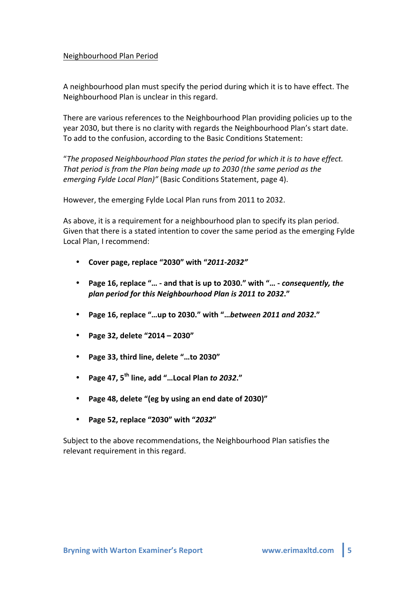## Neighbourhood Plan Period

A neighbourhood plan must specify the period during which it is to have effect. The Neighbourhood Plan is unclear in this regard.

There are various references to the Neighbourhood Plan providing policies up to the year 2030, but there is no clarity with regards the Neighbourhood Plan's start date. To add to the confusion, according to the Basic Conditions Statement:

"*The+proposed+Neighbourhood+Plan+states+the+period+for+which+it+is+to+have+effect.+ That period is from the Plan being made up to 2030 (the same period as the emerging Fylde Local Plan)"* (Basic Conditions Statement, page 4).

However, the emerging Fylde Local Plan runs from 2011 to 2032.

As above, it is a requirement for a neighbourhood plan to specify its plan period. Given that there is a stated intention to cover the same period as the emerging Fylde Local Plan, I recommend:

- **Cover'page,'replace'"2030"'with'"***2011\$2032"*
- Page 16, replace "... and that is up to 2030." with "... *consequently, the* plan period for this Neighbourhood Plan is 2011 to 2032."
- Page 16, replace "...up to 2030." with "...between 2011 and 2032."
- **Page'32,'delete'"2014'– 2030"**
- **Page'33,'third'line,'delete'"…to'2030"**
- **Page'47,'5th line,'add'"…Local'Plan'***to22032***."**
- Page 48, delete "(eg by using an end date of 2030)"
- **Page'52,'replace'"2030"'with'"***2032***"**

Subject to the above recommendations, the Neighbourhood Plan satisfies the relevant requirement in this regard.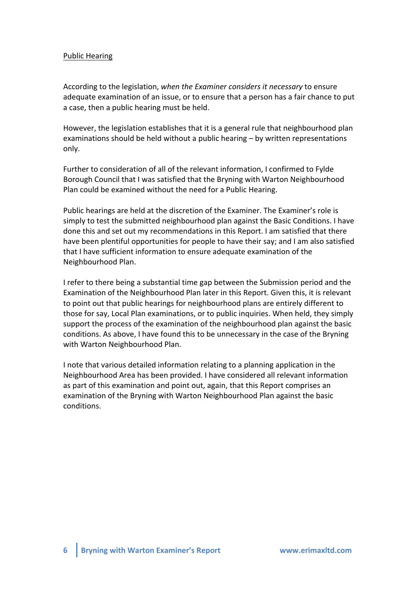## Public Hearing

According to the legislation, when the Examiner considers it necessary to ensure adequate examination of an issue, or to ensure that a person has a fair chance to put a case, then a public hearing must be held.

However, the legislation establishes that it is a general rule that neighbourhood plan examinations should be held without a public hearing  $-$  by written representations only.

Further to consideration of all of the relevant information, I confirmed to Fylde Borough Council that I was satisfied that the Bryning with Warton Neighbourhood Plan could be examined without the need for a Public Hearing.

Public hearings are held at the discretion of the Examiner. The Examiner's role is simply to test the submitted neighbourhood plan against the Basic Conditions. I have done this and set out my recommendations in this Report. I am satisfied that there have been plentiful opportunities for people to have their say; and I am also satisfied that I have sufficient information to ensure adequate examination of the Neighbourhood Plan.

I refer to there being a substantial time gap between the Submission period and the Examination of the Neighbourhood Plan later in this Report. Given this, it is relevant to point out that public hearings for neighbourhood plans are entirely different to those for say, Local Plan examinations, or to public inquiries. When held, they simply support the process of the examination of the neighbourhood plan against the basic conditions. As above, I have found this to be unnecessary in the case of the Bryning with Warton Neighbourhood Plan.

I note that various detailed information relating to a planning application in the Neighbourhood Area has been provided. I have considered all relevant information as part of this examination and point out, again, that this Report comprises an examination of the Bryning with Warton Neighbourhood Plan against the basic conditions.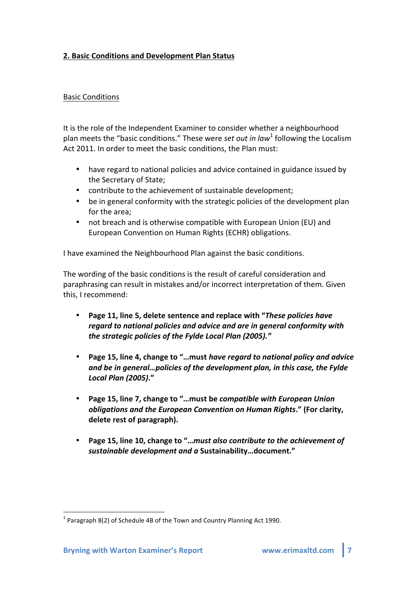# **2. Basic Conditions and Development Plan Status**

## Basic!Conditions

It is the role of the Independent Examiner to consider whether a neighbourhood plan meets the "basic conditions." These were *set out in law*<sup>1</sup> following the Localism Act 2011. In order to meet the basic conditions, the Plan must:

- have regard to national policies and advice contained in guidance issued by the Secretary of State;
- contribute to the achievement of sustainable development;
- be in general conformity with the strategic policies of the development plan for the area;
- not breach and is otherwise compatible with European Union (EU) and European Convention on Human Rights (ECHR) obligations.

I have examined the Neighbourhood Plan against the basic conditions.

The wording of the basic conditions is the result of careful consideration and paraphrasing can result in mistakes and/or incorrect interpretation of them. Given this, I recommend:

- **Page 11, line 5, delete sentence and replace with "***These policies have regard to national policies and advice and are in general conformity with the strategic policies of the Fylde Local Plan (2005)."*
- Page 15, line 4, change to "...must *have regard to national policy and advice* and be in general...policies of the development plan, in this case, the Fylde *Local2Plan2(2005)***."**
- Page 15, line 7, change to "...must be *compatible with European Union obligations and the European Convention on Human Rights." (For clarity,* delete rest of paragraph).
- Page 15, line 10, change to "...must also contribute to the achievement of sustainable development and a Sustainability...document."

 $1$  Paragraph 8(2) of Schedule 4B of the Town and Country Planning Act 1990.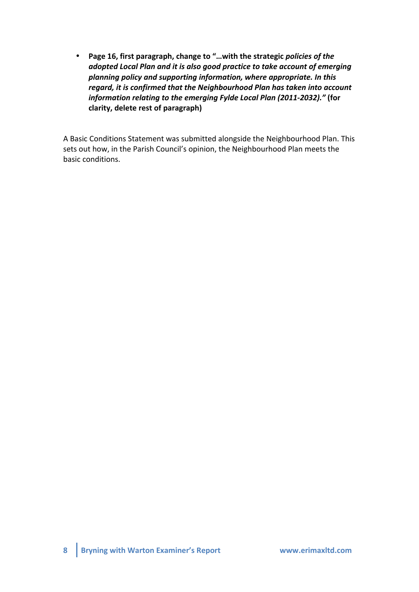• Page 16, first paragraph, change to "...with the strategic policies of the adopted Local Plan and it is also good practice to take account of emerging planning policy and supporting information, where appropriate. In this *regard, it is confirmed that the Neighbourhood Plan has taken into account information relating to the emerging Fylde Local Plan (2011-2032)."* (for clarity, delete rest of paragraph)

A Basic Conditions Statement was submitted alongside the Neighbourhood Plan. This sets out how, in the Parish Council's opinion, the Neighbourhood Plan meets the basic conditions.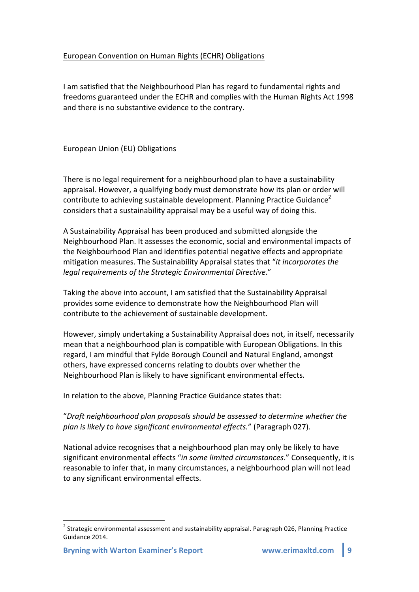# European Convention on Human Rights (ECHR) Obligations

I am satisfied that the Neighbourhood Plan has regard to fundamental rights and freedoms guaranteed under the ECHR and complies with the Human Rights Act 1998 and there is no substantive evidence to the contrary.

# European Union (EU) Obligations

There is no legal requirement for a neighbourhood plan to have a sustainability appraisal. However, a qualifying body must demonstrate how its plan or order will contribute to achieving sustainable development. Planning Practice Guidance<sup>2</sup> considers that a sustainability appraisal may be a useful way of doing this.

A Sustainability Appraisal has been produced and submitted alongside the Neighbourhood Plan. It assesses the economic, social and environmental impacts of the Neighbourhood Plan and identifies potential negative effects and appropriate mitigation measures. The Sustainability Appraisal states that "*it incorporates the legal requirements of the Strategic Environmental Directive."* 

Taking the above into account, I am satisfied that the Sustainability Appraisal provides some evidence to demonstrate how the Neighbourhood Plan will contribute to the achievement of sustainable development.

However, simply undertaking a Sustainability Appraisal does not, in itself, necessarily mean that a neighbourhood plan is compatible with European Obligations. In this regard, I am mindful that Fylde Borough Council and Natural England, amongst others, have expressed concerns relating to doubts over whether the Neighbourhood Plan is likely to have significant environmental effects.

In relation to the above, Planning Practice Guidance states that:

"Draft neighbourhood plan proposals should be assessed to determine whether the *plan is likely to have significant environmental effects."* (Paragraph 027).

National advice recognises that a neighbourhood plan may only be likely to have significant environmental effects "in some limited circumstances." Consequently, it is reasonable to infer that, in many circumstances, a neighbourhood plan will not lead to any significant environmental effects.

 $^2$  Strategic environmental assessment and sustainability appraisal. Paragraph 026, Planning Practice Guidance 2014.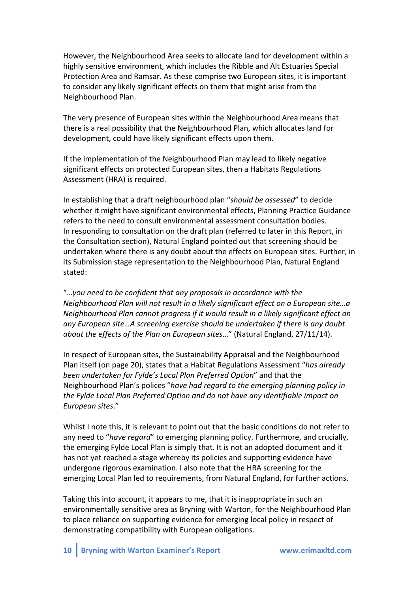However, the Neighbourhood Area seeks to allocate land for development within a highly sensitive environment, which includes the Ribble and Alt Estuaries Special Protection Area and Ramsar. As these comprise two European sites, it is important to consider any likely significant effects on them that might arise from the Neighbourhood Plan.

The very presence of European sites within the Neighbourhood Area means that there is a real possibility that the Neighbourhood Plan, which allocates land for development, could have likely significant effects upon them.

If the implementation of the Neighbourhood Plan may lead to likely negative significant effects on protected European sites, then a Habitats Regulations Assessment (HRA) is required.

In establishing that a draft neighbourhood plan "should be assessed" to decide whether it might have significant environmental effects, Planning Practice Guidance refers to the need to consult environmental assessment consultation bodies. In responding to consultation on the draft plan (referred to later in this Report, in the Consultation section), Natural England pointed out that screening should be undertaken where there is any doubt about the effects on European sites. Further, in its Submission stage representation to the Neighbourhood Plan, Natural England stated:

"...you need to be confident that any proposals in accordance with the *Neighbourhood Plan will not result in a likely significant effect on a European site...a Neighbourhood Plan cannot progress if it would result in a likely significant effect on any+European+site…A screening+exercise+should+be+undertaken+if+there+is+any+doubt+ about the effects of the Plan on European sites...*" (Natural England, 27/11/14).

In respect of European sites, the Sustainability Appraisal and the Neighbourhood Plan itself (on page 20), states that a Habitat Regulations Assessment "*has already been+undertaken+for+Fylde's+Local+Plan+Preferred+Option*"!and!that!the! Neighbourhood Plan's polices "have had regard to the emerging planning policy in *the+Fylde+Local+Plan+Preferred+Option+and+do+not+have any+identifiable+impact+on+ European+sites*."

Whilst I note this, it is relevant to point out that the basic conditions do not refer to any need to "*have regard*" to emerging planning policy. Furthermore, and crucially, the emerging Fylde Local Plan is simply that. It is not an adopted document and it has not yet reached a stage whereby its policies and supporting evidence have undergone rigorous examination. I also note that the HRA screening for the emerging Local Plan led to requirements, from Natural England, for further actions.

Taking this into account, it appears to me, that it is inappropriate in such an environmentally sensitive area as Bryning with Warton, for the Neighbourhood Plan to place reliance on supporting evidence for emerging local policy in respect of demonstrating compatibility with European obligations.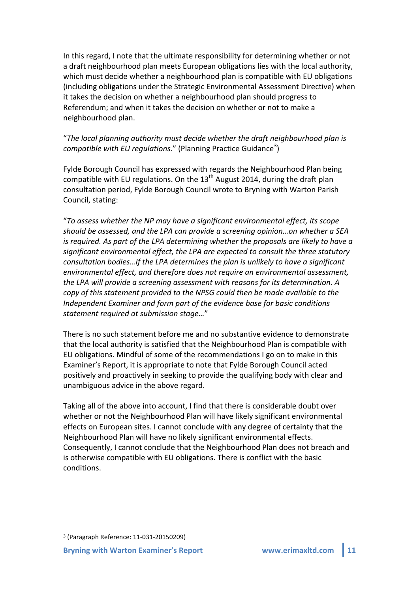In this regard, I note that the ultimate responsibility for determining whether or not a draft neighbourhood plan meets European obligations lies with the local authority, which must decide whether a neighbourhood plan is compatible with EU obligations (including obligations under the Strategic Environmental Assessment Directive) when it takes the decision on whether a neighbourhood plan should progress to Referendum; and when it takes the decision on whether or not to make a neighbourhood plan.

# "*The+local+planning+authority+must+decide+whether+the+draft+neighbourhood+plan+is+* compatible with EU regulations." (Planning Practice Guidance<sup>3</sup>)

Fylde Borough Council has expressed with regards the Neighbourhood Plan being compatible with EU regulations. On the  $13<sup>th</sup>$  August 2014, during the draft plan consultation period, Fylde Borough Council wrote to Bryning with Warton Parish Council, stating:

"*To+assess+whether+the+NP+may+have+a+significant+environmental+effect,+its+scope+* should be assessed, and the LPA can provide a screening opinion...on whether a SEA *is required. As part of the LPA determining whether the proposals are likely to have a significant+environmental+effect,+the+LPA+are+expected+to+consult+the+three+statutory+ consultation bodies…If the LPA determines the plan is unlikely to have a significant* environmental effect, and therefore does not require an environmental assessment, the LPA will provide a screening assessment with reasons for its determination. A *copy of this statement provided to the NPSG could then be made available to the Independent Examiner and form part of the evidence base for basic conditions statement+required+at+submission+stage…*"

There is no such statement before me and no substantive evidence to demonstrate that the local authority is satisfied that the Neighbourhood Plan is compatible with EU obligations. Mindful of some of the recommendations I go on to make in this Examiner's Report, it is appropriate to note that Fylde Borough Council acted positively and proactively in seeking to provide the qualifying body with clear and unambiguous advice in the above regard.

Taking all of the above into account, I find that there is considerable doubt over whether or not the Neighbourhood Plan will have likely significant environmental effects on European sites. I cannot conclude with any degree of certainty that the Neighbourhood Plan will have no likely significant environmental effects. Consequently, I cannot conclude that the Neighbourhood Plan does not breach and is otherwise compatible with EU obligations. There is conflict with the basic conditions.

!!!!!!!!!!!!!!!!!!!!!!!!!!!!!!!!!!!!!!!!!!!!!!!!!!!!!!!

<sup>&</sup>lt;sup>3</sup> (Paragraph Reference: 11-031-20150209)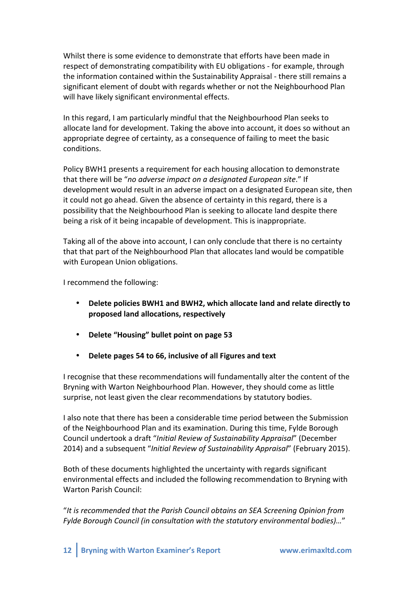Whilst there is some evidence to demonstrate that efforts have been made in respect of demonstrating compatibility with EU obligations - for example, through the information contained within the Sustainability Appraisal - there still remains a significant element of doubt with regards whether or not the Neighbourhood Plan will have likely significant environmental effects.

In this regard, I am particularly mindful that the Neighbourhood Plan seeks to allocate land for development. Taking the above into account, it does so without an appropriate degree of certainty, as a consequence of failing to meet the basic conditions.

Policy BWH1 presents a requirement for each housing allocation to demonstrate that there will be "no adverse impact on a designated European site." If development would result in an adverse impact on a designated European site, then it could not go ahead. Given the absence of certainty in this regard, there is a possibility that the Neighbourhood Plan is seeking to allocate land despite there being a risk of it being incapable of development. This is inappropriate.

Taking all of the above into account, I can only conclude that there is no certainty that that part of the Neighbourhood Plan that allocates land would be compatible with European Union obligations.

I recommend the following:

- Delete policies BWH1 and BWH2, which allocate land and relate directly to **proposed'land'allocations,'respectively**
- **Delete'"Housing"'bullet'point'on'page'53**
- Delete pages 54 to 66, inclusive of all Figures and text

I recognise that these recommendations will fundamentally alter the content of the Bryning with Warton Neighbourhood Plan. However, they should come as little surprise, not least given the clear recommendations by statutory bodies.

I also note that there has been a considerable time period between the Submission of the Neighbourhood Plan and its examination. During this time, Fylde Borough Council undertook a draft "*Initial Review of Sustainability Appraisal*" (December 2014) and a subsequent "*Initial Review of Sustainability Appraisal*" (February 2015).

Both of these documents highlighted the uncertainty with regards significant environmental effects and included the following recommendation to Bryning with Warton Parish Council:

"It is recommended that the Parish Council obtains an SEA Screening Opinion from *Fylde+Borough+Council+(in+consultation+with+the+statutory+environmental+bodies)…*"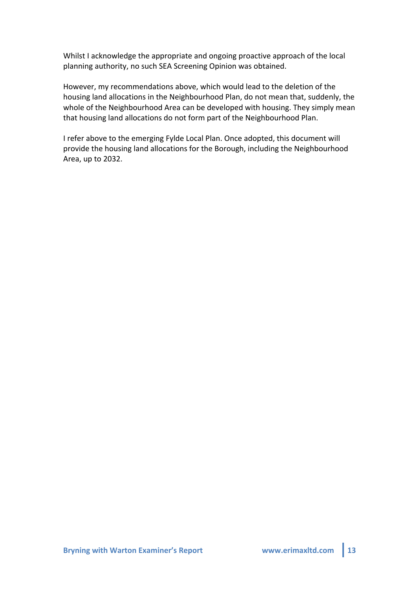Whilst I acknowledge the appropriate and ongoing proactive approach of the local planning authority, no such SEA Screening Opinion was obtained.

However, my recommendations above, which would lead to the deletion of the housing land allocations in the Neighbourhood Plan, do not mean that, suddenly, the whole of the Neighbourhood Area can be developed with housing. They simply mean that housing land allocations do not form part of the Neighbourhood Plan.

I refer above to the emerging Fylde Local Plan. Once adopted, this document will provide the housing land allocations for the Borough, including the Neighbourhood Area, up to 2032.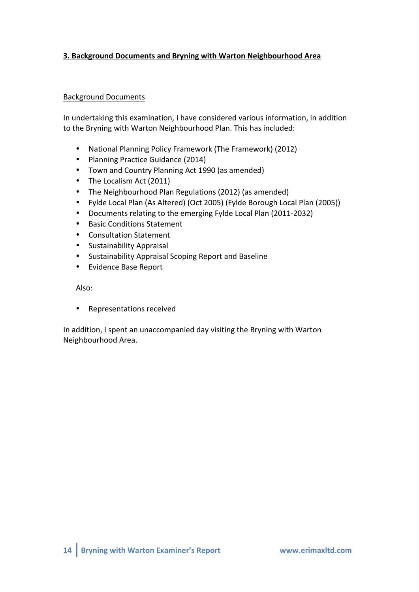# **3. Background'Documents and'Bryning'with'Warton Neighbourhood'Area**

## Background!Documents

In undertaking this examination, I have considered various information, in addition to the Bryning with Warton Neighbourhood Plan. This has included:

- National Planning Policy Framework (The Framework) (2012)
- Planning Practice Guidance (2014)
- Town and Country Planning Act 1990 (as amended)
- The Localism Act (2011)
- The Neighbourhood Plan Regulations (2012) (as amended)
- Fylde Local Plan (As Altered) (Oct 2005) (Fylde Borough Local Plan (2005))
- Documents relating to the emerging Fylde Local Plan (2011-2032)
- Basic Conditions Statement
- Consultation Statement
- Sustainability!Appraisal
- Sustainability Appraisal Scoping Report and Baseline
- Evidence Base Report

Also:

• Representations received

In addition, I spent an unaccompanied day visiting the Bryning with Warton Neighbourhood Area.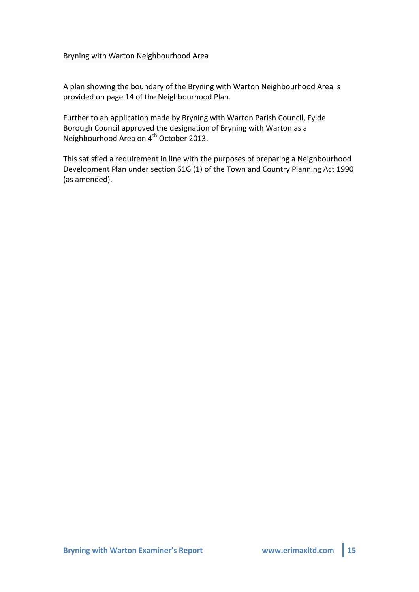## Bryning with Warton Neighbourhood Area

A plan showing the boundary of the Bryning with Warton Neighbourhood Area is provided on page 14 of the Neighbourhood Plan.

Further to an application made by Bryning with Warton Parish Council, Fylde Borough Council approved the designation of Bryning with Warton as a Neighbourhood Area on 4<sup>th</sup> October 2013.

This satisfied a requirement in line with the purposes of preparing a Neighbourhood Development Plan under section 61G (1) of the Town and Country Planning Act 1990 (as amended).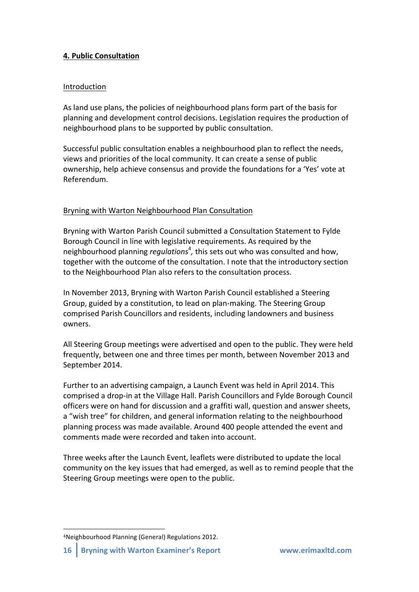# **4. Public'Consultation**

## Introduction

As land use plans, the policies of neighbourhood plans form part of the basis for planning and development control decisions. Legislation requires the production of neighbourhood plans to be supported by public consultation.

Successful public consultation enables a neighbourhood plan to reflect the needs, views and priorities of the local community. It can create a sense of public ownership, help achieve consensus and provide the foundations for a 'Yes' vote at Referendum.

# Bryning with Warton Neighbourhood Plan Consultation

Bryning with Warton Parish Council submitted a Consultation Statement to Fylde Borough Council in line with legislative requirements. As required by the neighbourhood planning *regulations<sup>4</sup>*, this sets out who was consulted and how, together with the outcome of the consultation. I note that the introductory section to the Neighbourhood Plan also refers to the consultation process.

In November 2013, Bryning with Warton Parish Council established a Steering Group, guided by a constitution, to lead on plan-making. The Steering Group comprised Parish Councillors and residents, including landowners and business owners.!

All Steering Group meetings were advertised and open to the public. They were held frequently, between one and three times per month, between November 2013 and September 2014.

Further to an advertising campaign, a Launch Event was held in April 2014. This comprised a drop-in at the Village Hall. Parish Councillors and Fylde Borough Council officers were on hand for discussion and a graffiti wall, question and answer sheets, a "wish tree" for children, and general information relating to the neighbourhood planning process was made available. Around 400 people attended the event and comments made were recorded and taken into account.

Three weeks after the Launch Event, leaflets were distributed to update the local community on the key issues that had emerged, as well as to remind people that the Steering Group meetings were open to the public.

!!!!!!!!!!!!!!!!!!!!!!!!!!!!!!!!!!!!!!!!!!!!!!!!!!!!!!!

<sup>&</sup>lt;sup>4</sup>Neighbourhood Planning (General) Regulations 2012.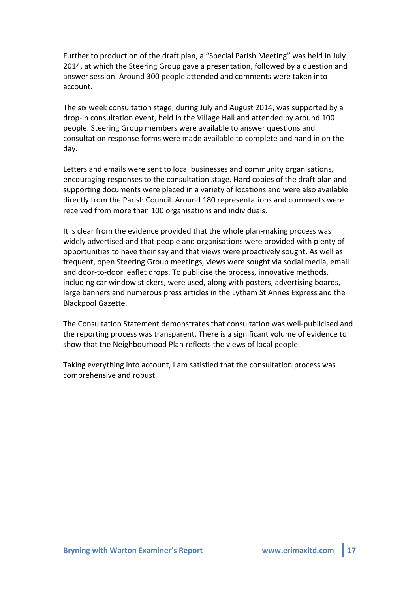Further to production of the draft plan, a "Special Parish Meeting" was held in July 2014, at which the Steering Group gave a presentation, followed by a question and answer session. Around 300 people attended and comments were taken into account.

The six week consultation stage, during July and August 2014, was supported by a drop-in consultation event, held in the Village Hall and attended by around 100 people. Steering Group members were available to answer questions and consultation response forms were made available to complete and hand in on the day.

Letters and emails were sent to local businesses and community organisations, encouraging responses to the consultation stage. Hard copies of the draft plan and supporting documents were placed in a variety of locations and were also available directly from the Parish Council. Around 180 representations and comments were received from more than 100 organisations and individuals.

It is clear from the evidence provided that the whole plan-making process was widely advertised and that people and organisations were provided with plenty of opportunities to have their say and that views were proactively sought. As well as frequent, open Steering Group meetings, views were sought via social media, email and door-to-door leaflet drops. To publicise the process, innovative methods, including car window stickers, were used, along with posters, advertising boards, large banners and numerous press articles in the Lytham St Annes Express and the Blackpool Gazette.

The Consultation Statement demonstrates that consultation was well-publicised and the reporting process was transparent. There is a significant volume of evidence to show that the Neighbourhood Plan reflects the views of local people.

Taking everything into account, I am satisfied that the consultation process was comprehensive and robust.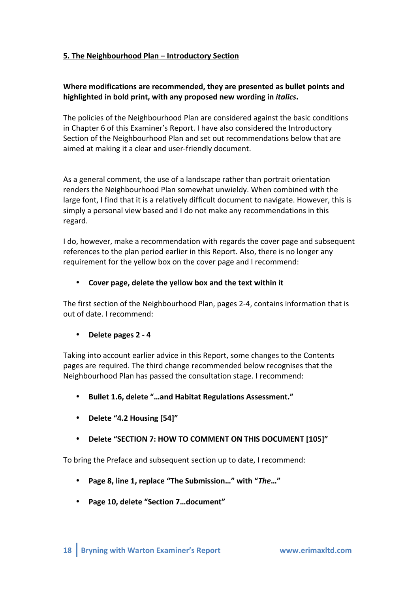# **5. The'Neighbourhood'Plan'– Introductory'Section**

# Where modifications are recommended, they are presented as bullet points and **highlighted'in'bold'print,'with'any'proposed'new'wording'in'***italics***.'**

The policies of the Neighbourhood Plan are considered against the basic conditions in Chapter 6 of this Examiner's Report. I have also considered the Introductory Section of the Neighbourhood Plan and set out recommendations below that are aimed at making it a clear and user-friendly document.

As a general comment, the use of a landscape rather than portrait orientation renders the Neighbourhood Plan somewhat unwieldy. When combined with the large font, I find that it is a relatively difficult document to navigate. However, this is simply a personal view based and I do not make any recommendations in this regard.

I do, however, make a recommendation with regards the cover page and subsequent references to the plan period earlier in this Report. Also, there is no longer any requirement for the yellow box on the cover page and I recommend:

# • Cover page, delete the yellow box and the text within it

The first section of the Neighbourhood Plan, pages 2-4, contains information that is out of date. I recommend:

# • Delete pages 2 - 4

Taking into account earlier advice in this Report, some changes to the Contents pages are required. The third change recommended below recognises that the Neighbourhood Plan has passed the consultation stage. I recommend:

- Bullet 1.6, delete "...and Habitat Regulations Assessment."
- **Delete'"4.2'Housing [54]"**
- Delete "SECTION 7: HOW TO COMMENT ON THIS DOCUMENT [105]"

To bring the Preface and subsequent section up to date, I recommend:

- **Page'8,'line'1,'replace'"The'Submission…"'with'"***The***…"**
- Page 10, delete "Section 7...document"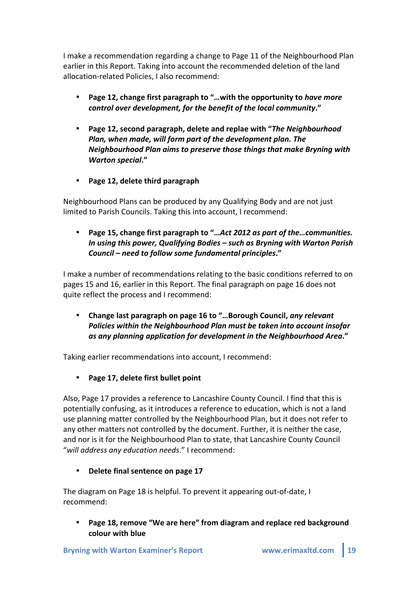I make a recommendation regarding a change to Page 11 of the Neighbourhood Plan earlier in this Report. Taking into account the recommended deletion of the land allocation-related Policies, I also recommend:

- Page 12, change first paragraph to "...with the opportunity to *have more control over development, for the benefit of the local community."*
- Page 12, second paragraph, delete and replae with "The Neighbourhood" *Plan, when made, will form part of the development plan. The Neighbourhood Plan aims to preserve those things that make Bryning with Warton2special***."''**
- Page 12, delete third paragraph

Neighbourhood Plans can be produced by any Qualifying Body and are not just limited to Parish Councils. Taking this into account, I recommend:

Page 15, change first paragraph to "...Act 2012 as part of the...communities. *In using this power, Qualifying Bodies – such as Bryning with Warton Parish Council – need to follow some fundamental principles."* 

I make a number of recommendations relating to the basic conditions referred to on pages 15 and 16, earlier in this Report. The final paragraph on page 16 does not quite reflect the process and I recommend:

Change last paragraph on page 16 to "...Borough Council, *any relevant Policies within the Neighbourhood Plan must be taken into account insofar* **as any planning application for development in the Neighbourhood Area."** 

Taking earlier recommendations into account, I recommend:

• Page 17, delete first bullet point

Also, Page 17 provides a reference to Lancashire County Council. I find that this is potentially confusing, as it introduces a reference to education, which is not a land use planning matter controlled by the Neighbourhood Plan, but it does not refer to any other matters not controlled by the document. Further, it is neither the case, and nor is it for the Neighbourhood Plan to state, that Lancashire County Council "will address any education needs." I recommend:

**Delete final sentence on page 17** 

The diagram on Page 18 is helpful. To prevent it appearing out-of-date, I recommend:

Page 18, remove "We are here" from diagram and replace red background **colour'with'blue**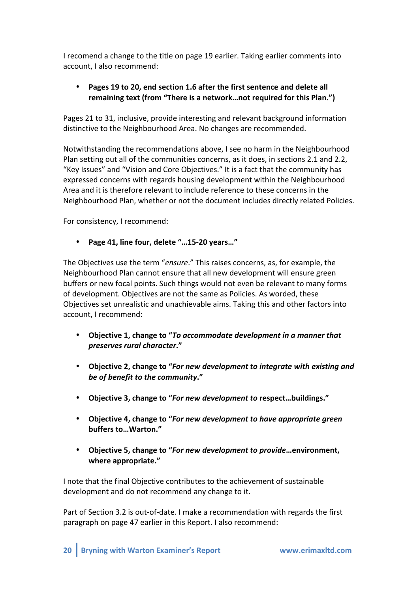I recomend a change to the title on page 19 earlier. Taking earlier comments into account. I also recommend:

# • Pages 19 to 20, end section 1.6 after the first sentence and delete all remaining text (from "There is a network...not required for this Plan.")

Pages 21 to 31, inclusive, provide interesting and relevant background information distinctive to the Neighbourhood Area. No changes are recommended.

Notwithstanding the recommendations above, I see no harm in the Neighbourhood Plan setting out all of the communities concerns, as it does, in sections 2.1 and 2.2. "Key Issues" and "Vision and Core Objectives." It is a fact that the community has expressed concerns with regards housing development within the Neighbourhood Area and it is therefore relevant to include reference to these concerns in the Neighbourhood Plan, whether or not the document includes directly related Policies.

For consistency, I recommend:

• Page 41, line four, delete "...15-20 years..."

The Objectives use the term "*ensure*." This raises concerns, as, for example, the Neighbourhood Plan cannot ensure that all new development will ensure green buffers or new focal points. Such things would not even be relevant to many forms of development. Objectives are not the same as Policies. As worded, these Objectives set unrealistic and unachievable aims. Taking this and other factors into account. I recommend:

- **Objective 1, change to "To accommodate development in a manner that** *preserves rural character."*
- Objective 2, change to "*For new development to integrate with existing and be of benefit to the community."*
- Objective 3, change to "*For new development to respect...buildings."*
- Objective 4, change to "*For new development to have appropriate green* **buffers'to…Warton."**
- Objective 5, change to "*For new development to provide* …environment, **where'appropriate."**

I note that the final Objective contributes to the achievement of sustainable development and do not recommend any change to it.

Part of Section 3.2 is out-of-date. I make a recommendation with regards the first paragraph on page 47 earlier in this Report. I also recommend: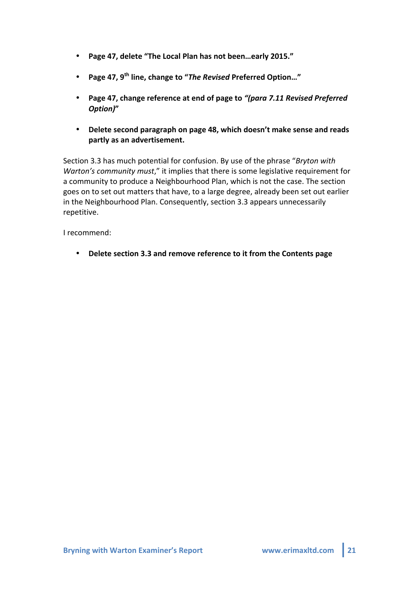- Page 47, delete "The Local Plan has not been...early 2015."
- **Page 47, 9<sup>th</sup> line, change to "The Revised Preferred Option..."**
- Page 47, change reference at end of page to "(para 7.11 Revised Preferred *Option)***"**
- Delete second paragraph on page 48, which doesn't make sense and reads **partly'as'an'advertisement.**

Section 3.3 has much potential for confusion. By use of the phrase "*Bryton with Warton's community must*," it implies that there is some legislative requirement for a community to produce a Neighbourhood Plan, which is not the case. The section goes on to set out matters that have, to a large degree, already been set out earlier in the Neighbourhood Plan. Consequently, section 3.3 appears unnecessarily repetitive.

I recommend:

• Delete section 3.3 and remove reference to it from the Contents page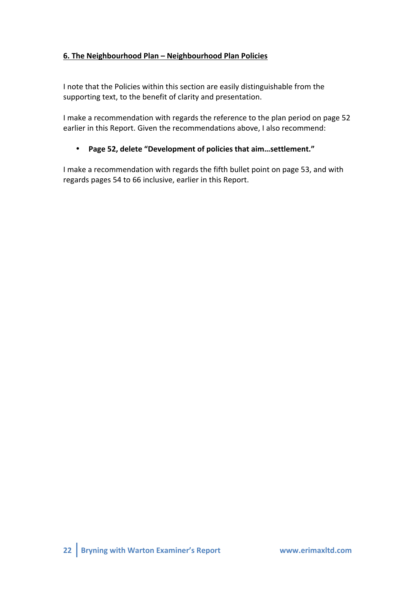# **6. The'Neighbourhood'Plan'– Neighbourhood'Plan'Policies**

I note that the Policies within this section are easily distinguishable from the supporting text, to the benefit of clarity and presentation.

I make a recommendation with regards the reference to the plan period on page 52 earlier in this Report. Given the recommendations above, I also recommend:

# • Page 52, delete "Development of policies that aim...settlement."

I make a recommendation with regards the fifth bullet point on page 53, and with regards pages 54 to 66 inclusive, earlier in this Report.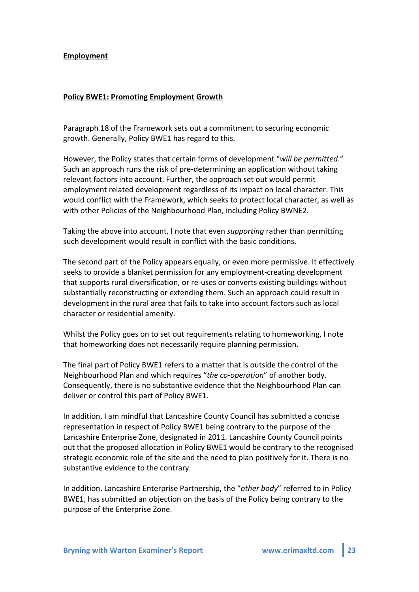#### **Employment**

#### **Policy'BWE1: Promoting'Employment'Growth**

Paragraph 18 of the Framework sets out a commitment to securing economic growth. Generally, Policy BWE1 has regard to this.

However, the Policy states that certain forms of development "*will be permitted.*" Such an approach runs the risk of pre-determining an application without taking relevant factors into account. Further, the approach set out would permit employment related development regardless of its impact on local character. This would conflict with the Framework, which seeks to protect local character, as well as with other Policies of the Neighbourhood Plan, including Policy BWNE2.

Taking the above into account, I note that even *supporting* rather than permitting such development would result in conflict with the basic conditions.

The second part of the Policy appears equally, or even more permissive. It effectively seeks to provide a blanket permission for any employment-creating development that supports rural diversification, or re-uses or converts existing buildings without substantially reconstructing or extending them. Such an approach could result in development in the rural area that fails to take into account factors such as local character or residential amenity.

Whilst the Policy goes on to set out requirements relating to homeworking, I note that homeworking does not necessarily require planning permission.

The final part of Policy BWE1 refers to a matter that is outside the control of the Neighbourhood Plan and which requires "the co-operation" of another body. Consequently, there is no substantive evidence that the Neighbourhood Plan can deliver or control this part of Policy BWE1.

In addition, I am mindful that Lancashire County Council has submitted a concise representation in respect of Policy BWE1 being contrary to the purpose of the Lancashire Enterprise Zone, designated in 2011. Lancashire County Council points out that the proposed allocation in Policy BWE1 would be contrary to the recognised strategic economic role of the site and the need to plan positively for it. There is no substantive evidence to the contrary.

In addition, Lancashire Enterprise Partnership, the "*other body*" referred to in Policy BWE1, has submitted an objection on the basis of the Policy being contrary to the purpose of the Enterprise Zone.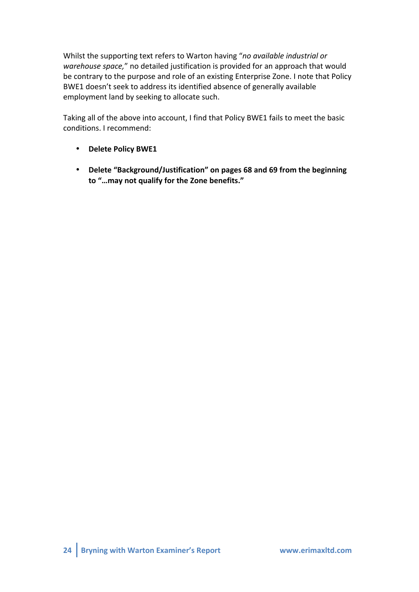Whilst the supporting text refers to Warton having "no available industrial or *warehouse space,"* no detailed justification is provided for an approach that would be contrary to the purpose and role of an existing Enterprise Zone. I note that Policy BWE1 doesn't seek to address its identified absence of generally available employment land by seeking to allocate such.

Taking all of the above into account, I find that Policy BWE1 fails to meet the basic conditions. I recommend:

- **Delete Policy BWE1**
- **Delete'"Background/Justification"'on'pages'68'and'69'from'the'beginning'** to "...may not qualify for the Zone benefits."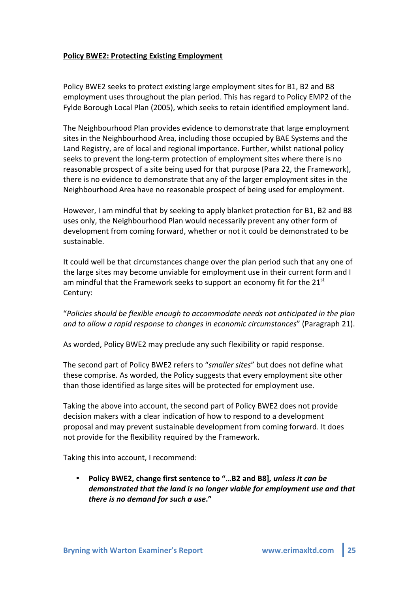## Policy BWE2: Protecting Existing Employment

Policy BWE2 seeks to protect existing large employment sites for B1, B2 and B8 employment uses throughout the plan period. This has regard to Policy EMP2 of the Fylde Borough Local Plan (2005), which seeks to retain identified employment land.

The Neighbourhood Plan provides evidence to demonstrate that large employment sites in the Neighbourhood Area, including those occupied by BAE Systems and the Land Registry, are of local and regional importance. Further, whilst national policy seeks to prevent the long-term protection of employment sites where there is no reasonable prospect of a site being used for that purpose (Para 22, the Framework), there is no evidence to demonstrate that any of the larger employment sites in the Neighbourhood Area have no reasonable prospect of being used for employment.

However, I am mindful that by seeking to apply blanket protection for B1, B2 and B8 uses only, the Neighbourhood Plan would necessarily prevent any other form of development from coming forward, whether or not it could be demonstrated to be sustainable.

It could well be that circumstances change over the plan period such that any one of the large sites may become unviable for employment use in their current form and I am mindful that the Framework seeks to support an economy fit for the  $21<sup>st</sup>$ Century:

"*Policies+should+be+flexible+enough+to+accommodate+needs+not+anticipated+in+the+plan+ and to allow a rapid response to changes in economic circumstances"* (Paragraph 21).

As worded, Policy BWE2 may preclude any such flexibility or rapid response.

The second part of Policy BWE2 refers to "smaller sites" but does not define what these comprise. As worded, the Policy suggests that every employment site other than those identified as large sites will be protected for employment use.

Taking the above into account, the second part of Policy BWE2 does not provide decision makers with a clear indication of how to respond to a development proposal and may prevent sustainable development from coming forward. It does not provide for the flexibility required by the Framework.

Taking this into account, I recommend:

Policy BWE2, change first sentence to "...B2 and B8], unless it can be demonstrated that the land is no longer viable for employment use and that *there is no demand for such a use."*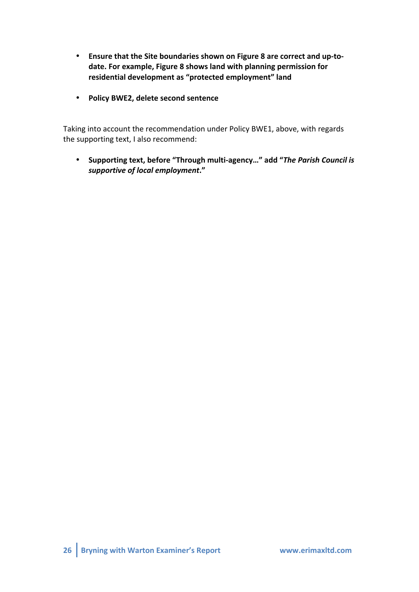- Ensure that the Site boundaries shown on Figure 8 are correct and up-todate. For example, Figure 8 shows land with planning permission for residential development as "protected employment" land
- **Policy BWE2, delete second sentence**

Taking into account the recommendation under Policy BWE1, above, with regards the supporting text, I also recommend:

• Supporting text, before "Through multi-agency..." add "*The Parish Council is* supportive of local employment."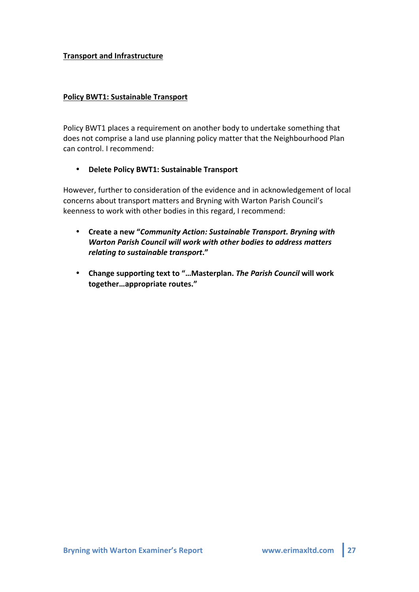## **Transport'and'Infrastructure**

## Policy BWT1: Sustainable Transport

Policy BWT1 places a requirement on another body to undertake something that does not comprise a land use planning policy matter that the Neighbourhood Plan can control. I recommend:

## **•** Delete Policy BWT1: Sustainable Transport

However, further to consideration of the evidence and in acknowledgement of local concerns about transport matters and Bryning with Warton Parish Council's keenness to work with other bodies in this regard, I recommend:

- Create a new "Community Action: Sustainable Transport. Bryning with Warton Parish Council will work with other bodies to address matters *relating to sustainable transport."*
- Change supporting text to "...Masterplan. The Parish Council will work together...appropriate routes."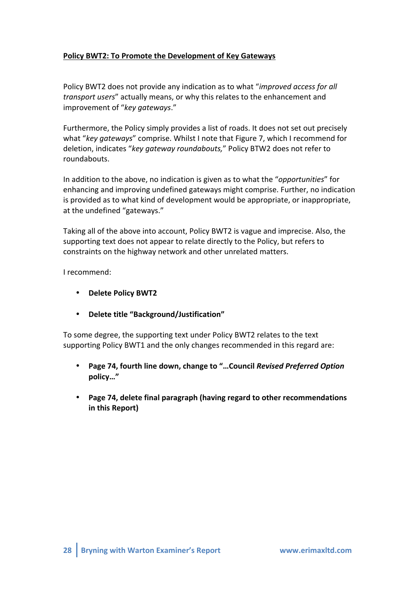# Policy BWT2: To Promote the Development of Key Gateways

Policy BWT2 does not provide any indication as to what "*improved access for all transport users*" actually means, or why this relates to the enhancement and improvement!of!"*key+gateways*."

Furthermore, the Policy simply provides a list of roads. It does not set out precisely what "*key gateways*" comprise. Whilst I note that Figure 7, which I recommend for deletion, indicates "key gateway roundabouts," Policy BTW2 does not refer to roundabouts.

In addition to the above, no indication is given as to what the "*opportunities*" for enhancing and improving undefined gateways might comprise. Further, no indication is provided as to what kind of development would be appropriate, or inappropriate, at the undefined "gateways."

Taking all of the above into account, Policy BWT2 is vague and imprecise. Also, the supporting text does not appear to relate directly to the Policy, but refers to constraints on the highway network and other unrelated matters.

I recommend:

- **Delete'Policy'BWT2**
- **Delete'title'"Background/Justification"**

To some degree, the supporting text under Policy BWT2 relates to the text supporting Policy BWT1 and the only changes recommended in this regard are:

- Page 74, fourth line down, change to "...Council Revised Preferred Option **policy…"**
- Page 74, delete final paragraph (having regard to other recommendations in this Report)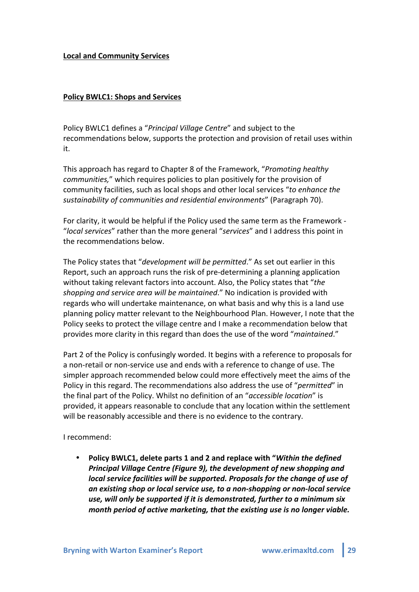## Local and Community Services

## Policy BWLC1: Shops and Services

Policy BWLC1 defines a "*Principal Village Centre*" and subject to the recommendations below, supports the protection and provision of retail uses within it.

This approach has regard to Chapter 8 of the Framework, "*Promoting healthy communities,"* which requires policies to plan positively for the provision of community facilities, such as local shops and other local services "to enhance the sustainability of communities and residential environments" (Paragraph 70).

For clarity, it would be helpful if the Policy used the same term as the Framework -"local services" rather than the more general "services" and I address this point in the recommendations below.

The Policy states that "*development will be permitted*." As set out earlier in this Report, such an approach runs the risk of pre-determining a planning application without taking relevant factors into account. Also, the Policy states that "*the* shopping and service area will be maintained." No indication is provided with regards who will undertake maintenance, on what basis and why this is a land use planning policy matter relevant to the Neighbourhood Plan. However, I note that the Policy seeks to protect the village centre and I make a recommendation below that provides more clarity in this regard than does the use of the word "*maintained.*"

Part 2 of the Policy is confusingly worded. It begins with a reference to proposals for a non-retail or non-service use and ends with a reference to change of use. The simpler approach recommended below could more effectively meet the aims of the Policy in this regard. The recommendations also address the use of "*permitted*" in the final part of the Policy. Whilst no definition of an "*accessible location*" is provided, it appears reasonable to conclude that any location within the settlement will be reasonably accessible and there is no evidence to the contrary.

I recommend:

Policy BWLC1, delete parts 1 and 2 and replace with "*Within the defined Principal Village Centre (Figure 9), the development of new shopping and local service facilities will be supported. Proposals for the change of use of* an existing shop or local service use, to a non-shopping or non-local service *use, will only be supported if it is demonstrated, further to a minimum six month period of active marketing, that the existing use is no longer viable.*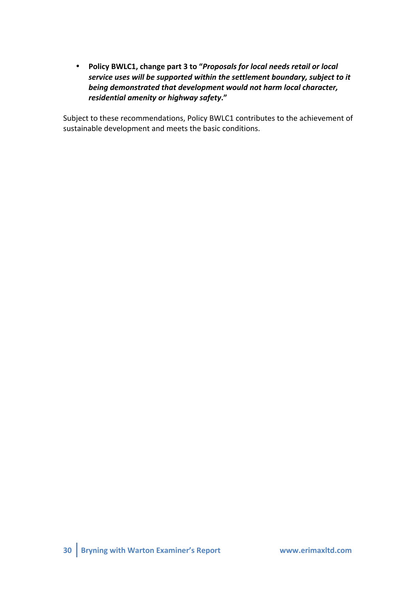• Policy BWLC1, change part 3 to "*Proposals for local needs retail or local* service uses will be supported within the settlement boundary, subject to it *being demonstrated that development would not harm local character, residential amenity or highway safety."* 

Subject to these recommendations, Policy BWLC1 contributes to the achievement of sustainable development and meets the basic conditions.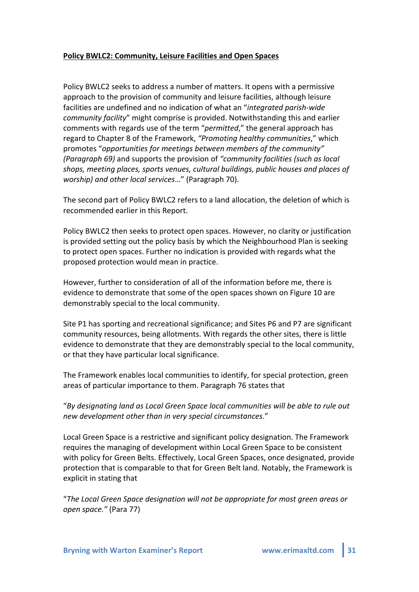## Policy BWLC2: Community, Leisure Facilities and Open Spaces

Policy BWLC2 seeks to address a number of matters. It opens with a permissive approach to the provision of community and leisure facilities, although leisure facilities are undefined and no indication of what an "*integrated parish-wide community facility*" might comprise is provided. Notwithstanding this and earlier comments with regards use of the term "*permitted*," the general approach has regard to Chapter 8 of the Framework, "Promoting healthy communities," which promotes "opportunities for meetings between members of the community" *(Paragraph 69)* and supports the provision of "community facilities (such as local) *shops,+meeting+places,+sports+venues,+cultural+buildings,+public+houses+and+places+of+ worship)* and other local services..." (Paragraph 70).

The second part of Policy BWLC2 refers to a land allocation, the deletion of which is recommended earlier in this Report.

Policy BWLC2 then seeks to protect open spaces. However, no clarity or justification is provided setting out the policy basis by which the Neighbourhood Plan is seeking to protect open spaces. Further no indication is provided with regards what the proposed protection would mean in practice.

However, further to consideration of all of the information before me, there is evidence to demonstrate that some of the open spaces shown on Figure 10 are demonstrably special to the local community.

Site P1 has sporting and recreational significance; and Sites P6 and P7 are significant community resources, being allotments. With regards the other sites, there is little evidence to demonstrate that they are demonstrably special to the local community, or that they have particular local significance.

The Framework enables local communities to identify, for special protection, green areas of particular importance to them. Paragraph 76 states that

"*By+designating+land+as+Local+Green+Space+local+communities+will+be+able+to+rule+out+ new+development+other+than+in+very+special+circumstances*."!

Local Green Space is a restrictive and significant policy designation. The Framework requires the managing of development within Local Green Space to be consistent with policy for Green Belts. Effectively, Local Green Spaces, once designated, provide protection that is comparable to that for Green Belt land. Notably, the Framework is explicit in stating that

"*The+Local+Green+Space+designation+will+not+be+appropriate+for+most+green+areas+or+ open space."* (Para 77)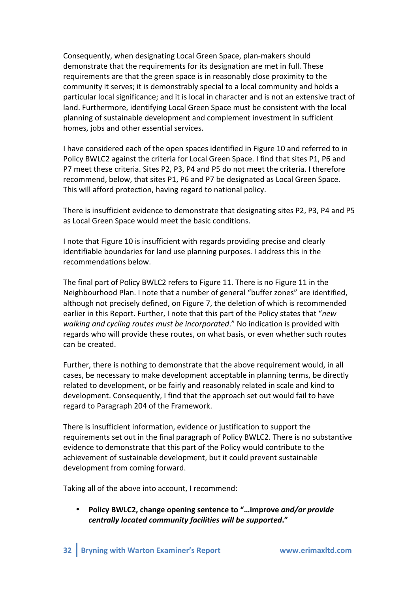Consequently, when designating Local Green Space, plan-makers should demonstrate that the requirements for its designation are met in full. These requirements are that the green space is in reasonably close proximity to the community it serves; it is demonstrably special to a local community and holds a particular local significance; and it is local in character and is not an extensive tract of land. Furthermore, identifying Local Green Space must be consistent with the local planning of sustainable development and complement investment in sufficient homes, jobs and other essential services.

I have considered each of the open spaces identified in Figure 10 and referred to in Policy BWLC2 against the criteria for Local Green Space. I find that sites P1, P6 and P7 meet these criteria. Sites P2, P3, P4 and P5 do not meet the criteria. I therefore recommend, below, that sites P1, P6 and P7 be designated as Local Green Space. This will afford protection, having regard to national policy.

There is insufficient evidence to demonstrate that designating sites P2, P3, P4 and P5 as Local Green Space would meet the basic conditions.

I note that Figure 10 is insufficient with regards providing precise and clearly identifiable boundaries for land use planning purposes. I address this in the recommendations below.

The final part of Policy BWLC2 refers to Figure 11. There is no Figure 11 in the Neighbourhood Plan. I note that a number of general "buffer zones" are identified, although not precisely defined, on Figure 7, the deletion of which is recommended earlier in this Report. Further, I note that this part of the Policy states that "*new* walking and cycling routes must be incorporated." No indication is provided with regards who will provide these routes, on what basis, or even whether such routes can be created.

Further, there is nothing to demonstrate that the above requirement would, in all cases, be necessary to make development acceptable in planning terms, be directly related to development, or be fairly and reasonably related in scale and kind to development. Consequently, I find that the approach set out would fail to have regard to Paragraph 204 of the Framework.

There is insufficient information, evidence or justification to support the requirements set out in the final paragraph of Policy BWLC2. There is no substantive evidence to demonstrate that this part of the Policy would contribute to the achievement of sustainable development, but it could prevent sustainable development from coming forward.

Taking all of the above into account, I recommend:

Policy BWLC2, change opening sentence to "...improve and/or provide centrally located community facilities will be supported."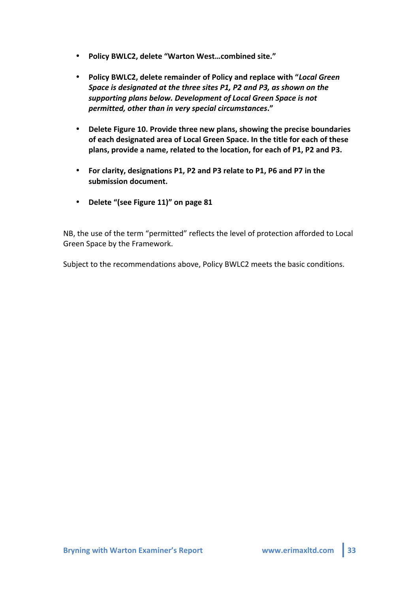- Policy BWLC2, delete "Warton West...combined site."
- **Policy BWLC2, delete remainder of Policy and replace with "***Local Green Space is designated at the three sites P1, P2 and P3, as shown on the supporting plans below. Development of Local Green Space is not permitted,2other2than2in2very2special2circumstances***."**
- Delete Figure 10. Provide three new plans, showing the precise boundaries of each designated area of Local Green Space. In the title for each of these plans, provide a name, related to the location, for each of P1, P2 and P3.
- For clarity, designations P1, P2 and P3 relate to P1, P6 and P7 in the submission document.
- Delete "(see Figure 11)" on page 81

NB, the use of the term "permitted" reflects the level of protection afforded to Local Green Space by the Framework.

Subject to the recommendations above, Policy BWLC2 meets the basic conditions.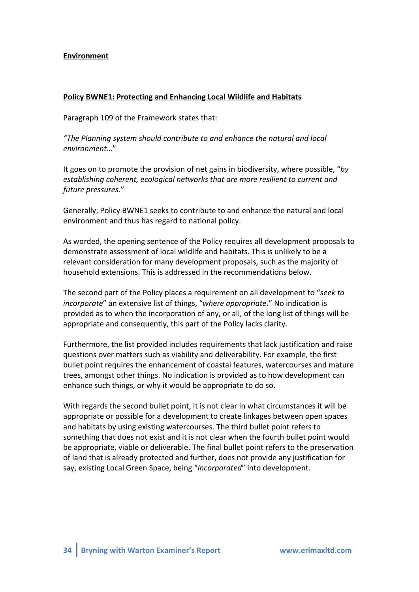## **Environment**

#### Policy BWNE1: Protecting and Enhancing Local Wildlife and Habitats

Paragraph 109 of the Framework states that:

*"The+Planning+system+should+contribute+to+and+enhance+the+natural+and+local+ environment*…"

It goes on to promote the provision of net gains in biodiversity, where possible, "*by establishing coherent, ecological networks that are more resilient to current and future+pressures*."

Generally, Policy BWNE1 seeks to contribute to and enhance the natural and local environment and thus has regard to national policy.

As worded, the opening sentence of the Policy requires all development proposals to demonstrate assessment of local wildlife and habitats. This is unlikely to be a relevant consideration for many development proposals, such as the majority of household extensions. This is addressed in the recommendations below.

The second part of the Policy places a requirement on all development to "seek to *incorporate*" an extensive list of things, "where appropriate." No indication is provided as to when the incorporation of any, or all, of the long list of things will be appropriate and consequently, this part of the Policy lacks clarity.

Furthermore, the list provided includes requirements that lack justification and raise questions over matters such as viability and deliverability. For example, the first bullet point requires the enhancement of coastal features, watercourses and mature trees, amongst other things. No indication is provided as to how development can enhance such things, or why it would be appropriate to do so.

With regards the second bullet point, it is not clear in what circumstances it will be appropriate or possible for a development to create linkages between open spaces and habitats by using existing watercourses. The third bullet point refers to something that does not exist and it is not clear when the fourth bullet point would be appropriate, viable or deliverable. The final bullet point refers to the preservation of land that is already protected and further, does not provide any justification for say, existing Local Green Space, being "*incorporated*" into development.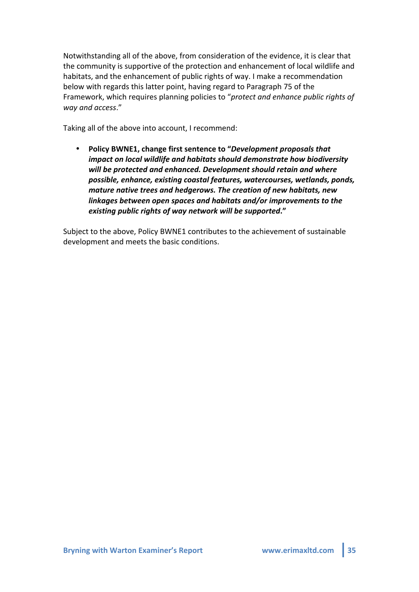Notwithstanding all of the above, from consideration of the evidence, it is clear that the community is supportive of the protection and enhancement of local wildlife and habitats, and the enhancement of public rights of way. I make a recommendation below with regards this latter point, having regard to Paragraph 75 of the Framework, which requires planning policies to "*protect and enhance public rights of way+and+access*."

Taking all of the above into account, I recommend:

• Policy BWNE1, change first sentence to "*Development proposals that impact on local wildlife and habitats should demonstrate how biodiversity* will be protected and enhanced. Development should retain and where *possible, enhance, existing coastal features, watercourses, wetlands, ponds, mature native trees and hedgerows. The creation of new habitats, new linkages between open spaces and habitats and/or improvements to the existing public rights of way network will be supported."* 

Subject to the above, Policy BWNE1 contributes to the achievement of sustainable development and meets the basic conditions.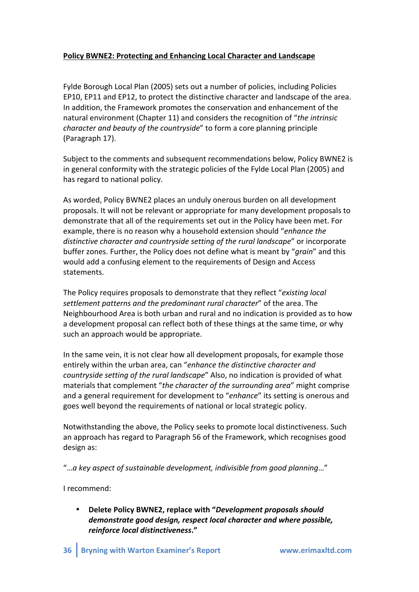# Policy BWNE2: Protecting and Enhancing Local Character and Landscape

Fylde Borough Local Plan (2005) sets out a number of policies, including Policies EP10, EP11 and EP12, to protect the distinctive character and landscape of the area. In addition, the Framework promotes the conservation and enhancement of the natural environment (Chapter 11) and considers the recognition of "*the intrinsic character and beauty of the countryside*" to form a core planning principle (Paragraph 17).

Subject to the comments and subsequent recommendations below, Policy BWNE2 is in general conformity with the strategic policies of the Fylde Local Plan (2005) and has regard to national policy.

As worded, Policy BWNE2 places an unduly onerous burden on all development proposals. It will not be relevant or appropriate for many development proposals to demonstrate that all of the requirements set out in the Policy have been met. For example, there is no reason why a household extension should "*enhance the distinctive character and countryside setting of the rural landscape"* or incorporate buffer zones. Further, the Policy does not define what is meant by "*grain*" and this would add a confusing element to the requirements of Design and Access statements.

The Policy requires proposals to demonstrate that they reflect "*existing local* settlement patterns and the predominant rural character" of the area. The Neighbourhood Area is both urban and rural and no indication is provided as to how a development proposal can reflect both of these things at the same time, or why such an approach would be appropriate.

In the same vein, it is not clear how all development proposals, for example those entirely within the urban area, can "enhance the distinctive character and *countryside setting of the rural landscape"* Also, no indication is provided of what materials that complement "*the character of the surrounding area*" might comprise and a general requirement for development to "*enhance*" its setting is onerous and goes well beyond the requirements of national or local strategic policy.

Notwithstanding the above, the Policy seeks to promote local distinctiveness. Such an approach has regard to Paragraph 56 of the Framework, which recognises good design as:

"...a key aspect of sustainable development, indivisible from good planning..."

I recommend:

**Delete Policy BWNE2, replace with "Development proposals should** demonstrate good design, respect local character and where possible, *reinforce local2distinctiveness***."**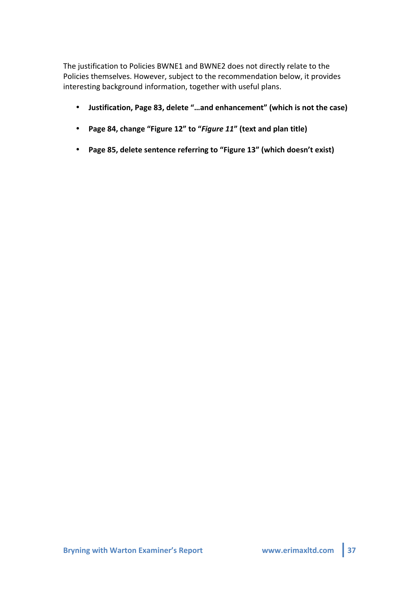The justification to Policies BWNE1 and BWNE2 does not directly relate to the Policies themselves. However, subject to the recommendation below, it provides interesting background information, together with useful plans.

- Justification, Page 83, delete "...and enhancement" (which is not the case)
- Page 84, change "Figure 12" to "Figure 11" (text and plan title)
- Page 85, delete sentence referring to "Figure 13" (which doesn't exist)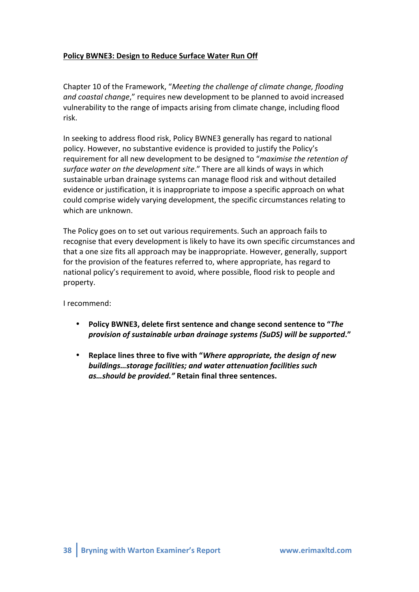# Policy BWNE3: Design to Reduce Surface Water Run Off

Chapter 10 of the Framework, "*Meeting the challenge of climate change, flooding and coastal change*," requires new development to be planned to avoid increased vulnerability to the range of impacts arising from climate change, including flood risk.

In seeking to address flood risk, Policy BWNE3 generally has regard to national policy. However, no substantive evidence is provided to justify the Policy's requirement for all new development to be designed to "*maximise the retention of* surface water on the development site." There are all kinds of ways in which sustainable urban drainage systems can manage flood risk and without detailed evidence or justification, it is inappropriate to impose a specific approach on what could comprise widely varying development, the specific circumstances relating to which are unknown.

The Policy goes on to set out various requirements. Such an approach fails to recognise that every development is likely to have its own specific circumstances and that a one size fits all approach may be inappropriate. However, generally, support for the provision of the features referred to, where appropriate, has regard to national policy's requirement to avoid, where possible, flood risk to people and property.

I recommend:

- Policy BWNE3, delete first sentence and change second sentence to "*The provision2of2sustainable2urban2drainage2systems2(SuDS)2will2be2supported***."'**
- **Replace lines three to five with "***Where appropriate, the design of new* buildings...storage facilities; and water attenuation facilities such *as...should be provided."* Retain final three sentences.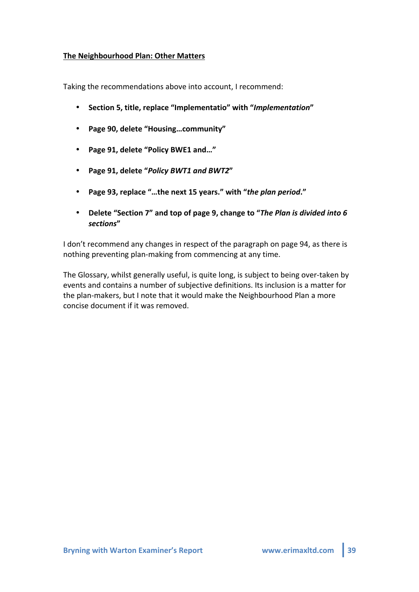## **The Neighbourhood Plan: Other Matters**

Taking the recommendations above into account, I recommend:

- **Section'5,'title,'replace'"Implementatio"'with'"***Implementation***"'**
- **Page'90,'delete'"Housing…community"**
- Page 91, delete "Policy BWE1 and..."
- Page 91, delete "Policy BWT1 and BWT2"
- Page 93, replace "...the next 15 years." with "*the plan period*."
- **Delete "Section 7"** and top of page 9, change to "*The Plan is divided into 6 sections***"**

I don't recommend any changes in respect of the paragraph on page 94, as there is nothing preventing plan-making from commencing at any time.

The Glossary, whilst generally useful, is quite long, is subject to being over-taken by events and contains a number of subjective definitions. Its inclusion is a matter for the plan-makers, but I note that it would make the Neighbourhood Plan a more concise document if it was removed.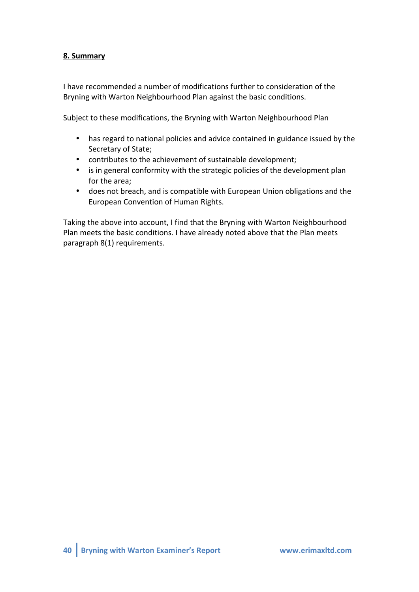# **8.'Summary'**

I have recommended a number of modifications further to consideration of the Bryning with Warton Neighbourhood Plan against the basic conditions.

Subject to these modifications, the Bryning with Warton Neighbourhood Plan

- has regard to national policies and advice contained in guidance issued by the Secretary of State;
- contributes to the achievement of sustainable development;
- is in general conformity with the strategic policies of the development plan for the area;
- does not breach, and is compatible with European Union obligations and the European Convention of Human Rights.

Taking the above into account, I find that the Bryning with Warton Neighbourhood Plan meets the basic conditions. I have already noted above that the Plan meets paragraph 8(1) requirements.